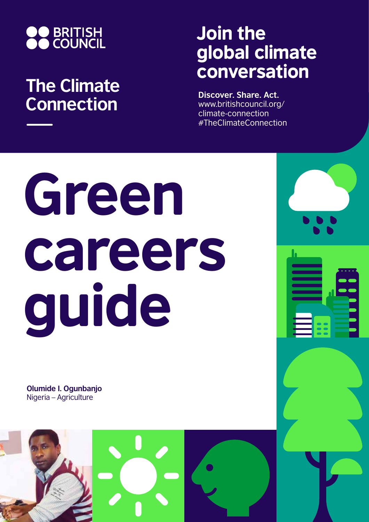

## **The Climate Connection**

## Join the global climate conversation

**Discover. Share. Act.** www.britishcouncil.org/ climate-connection #TheClimateConnection

# Green careers guide

**Olumide I. Ogunbanjo** Nigeria – Agriculture

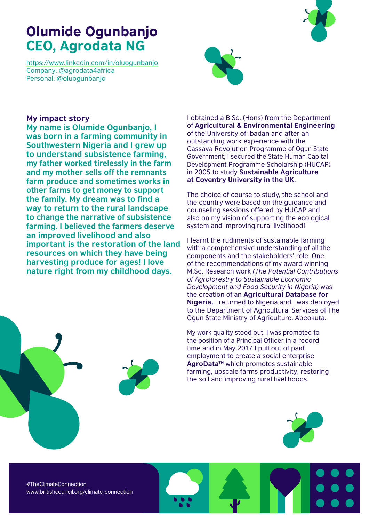## Olumide Ogunbanjo CEO, Agrodata NG

https://www.linkedin.com/in/oluogunbanjo Company: @agrodata4africa Personal: @oluogunbanjo



### **My impact story**

**My name is Olumide Ogunbanjo, I was born in a farming community in Southwestern Nigeria and I grew up to understand subsistence farming, my father worked tirelessly in the farm and my mother sells off the remnants farm produce and sometimes works in other farms to get money to support the family. My dream was to find a way to return to the rural landscape to change the narrative of subsistence farming. I believed the farmers deserve an improved livelihood and also important is the restoration of the land resources on which they have being harvesting produce for ages! I love nature right from my childhood days.** 



I obtained a B.Sc. (Hons) from the Department of **Agricultural & Environmental Engineering** of the University of Ibadan and after an outstanding work experience with the Cassava Revolution Programme of Ogun State Government; I secured the State Human Capital Development Programme Scholarship (HUCAP) in 2005 to study **Sustainable Agriculture at Coventry University in the UK**.

The choice of course to study, the school and the country were based on the guidance and counseling sessions offered by HUCAP and also on my vision of supporting the ecological system and improving rural livelihood!

I learnt the rudiments of sustainable farming with a comprehensive understanding of all the components and the stakeholders' role. One of the recommendations of my award winning M.Sc. Research work *(The Potential Contributions of Agroforestry to Sustainable Economic Development and Food Security in Nigeria)* was the creation of an **Agricultural Database for Nigeria.** I returned to Nigeria and I was deployed to the Department of Agricultural Services of The Ogun State Ministry of Agriculture. Abeokuta.

My work quality stood out, I was promoted to the position of a Principal Officer in a record time and in May 2017 I pull out of paid employment to create a social enterprise **AgroData™** which promotes sustainable farming, upscale farms productivity; restoring the soil and improving rural livelihoods.



#TheClimateConnection www.britishcouncil.org/climate-connection